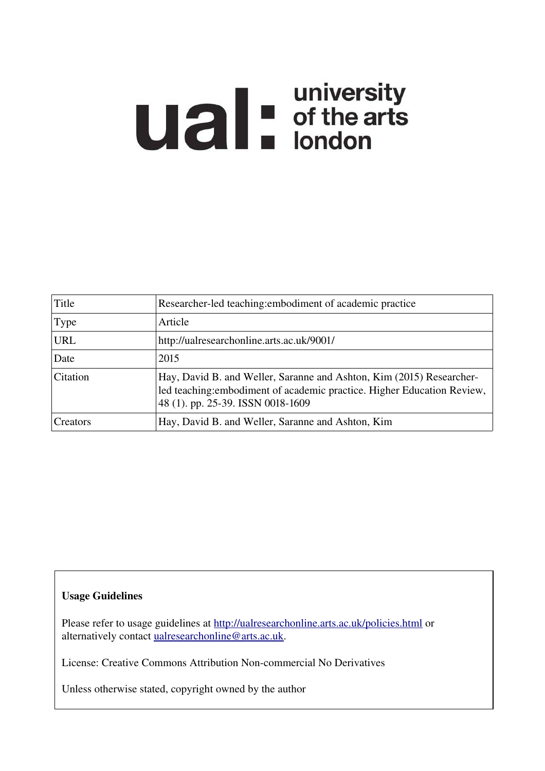# **Ual** For of the arts

| Title      | Researcher-led teaching: embodiment of academic practice                                                                                                                             |
|------------|--------------------------------------------------------------------------------------------------------------------------------------------------------------------------------------|
| Type       | Article                                                                                                                                                                              |
| <b>URL</b> | http://ualresearchonline.arts.ac.uk/9001/                                                                                                                                            |
| Date       | 2015                                                                                                                                                                                 |
| Citation   | Hay, David B. and Weller, Saranne and Ashton, Kim (2015) Researcher-<br>led teaching: embodiment of academic practice. Higher Education Review,<br>48 (1). pp. 25-39. ISSN 0018-1609 |
| Creators   | Hay, David B. and Weller, Saranne and Ashton, Kim                                                                                                                                    |

# Usage Guidelines

Please refer to usage guidelines at<http://ualresearchonline.arts.ac.uk/policies.html>or alternatively contact [ualresearchonline@arts.ac.uk.](mailto:ualresearchonline@arts.ac.uk)

License: Creative Commons Attribution Non-commercial No Derivatives

Unless otherwise stated, copyright owned by the author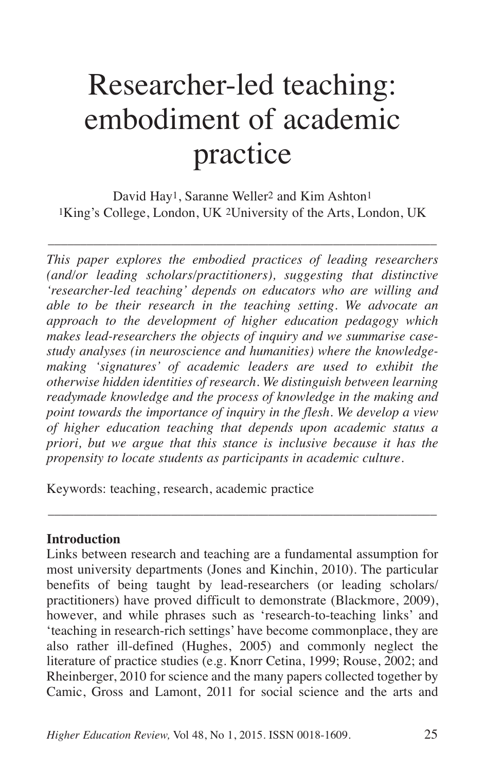# Researcher-led teaching: embodiment of academic practice

David Hay<sup>1</sup>, Saranne Weller<sup>2</sup> and Kim Ashton<sup>1</sup> 1King's College, London, UK 2University of the Arts, London, UK

––––––––––––––––––––––––––––––––––––––––––––––––––––––––––––

*This paper explores the embodied practices of leading researchers (and/or leading scholars/practitioners), suggesting that distinctive 'researcher-led teaching' depends on educators who are willing and able to be their research in the teaching setting. We advocate an approach to the development of higher education pedagogy which makes lead-researchers the objects of inquiry and we summarise casestudy analyses (in neuroscience and humanities) where the knowledgemaking 'signatures' of academic leaders are used to exhibit the otherwise hidden identities of research. We distinguish between learning readymade knowledge and the process of knowledge in the making and point towards the importance of inquiry in the flesh. We develop a view of higher education teaching that depends upon academic status a priori, but we argue that this stance is inclusive because it has the propensity to locate students as participants in academic culture.*

Keywords: teaching, research, academic practice

# **Introduction**

Links between research and teaching are a fundamental assumption for most university departments (Jones and Kinchin, 2010). The particular benefits of being taught by lead-researchers (or leading scholars/ practitioners) have proved difficult to demonstrate (Blackmore, 2009), however, and while phrases such as 'research-to-teaching links' and 'teaching in research-rich settings' have become commonplace, they are also rather ill-defined (Hughes, 2005) and commonly neglect the literature of practice studies (e.g. Knorr Cetina, 1999; Rouse, 2002; and Rheinberger, 2010 for science and the many papers collected together by Camic, Gross and Lamont, 2011 for social science and the arts and

––––––––––––––––––––––––––––––––––––––––––––––––––––––––––––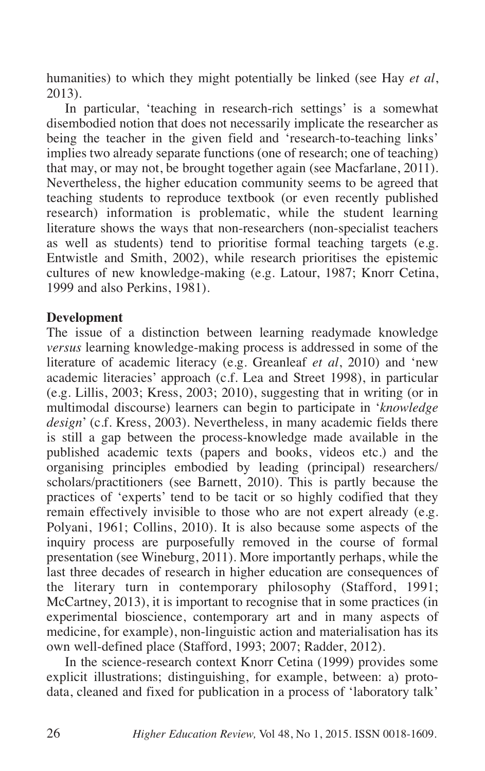humanities) to which they might potentially be linked (see Hay *et al*, 2013).

In particular, 'teaching in research-rich settings' is a somewhat disembodied notion that does not necessarily implicate the researcher as being the teacher in the given field and 'research-to-teaching links' implies two already separate functions (one of research; one of teaching) that may, or may not, be brought together again (see Macfarlane, 2011). Nevertheless, the higher education community seems to be agreed that teaching students to reproduce textbook (or even recently published research) information is problematic, while the student learning literature shows the ways that non-researchers (non-specialist teachers as well as students) tend to prioritise formal teaching targets (e.g. Entwistle and Smith, 2002), while research prioritises the epistemic cultures of new knowledge-making (e.g. Latour, 1987; Knorr Cetina, 1999 and also Perkins, 1981).

# **Development**

The issue of a distinction between learning readymade knowledge *versus* learning knowledge-making process is addressed in some of the literature of academic literacy (e.g. Greanleaf *et al*, 2010) and 'new academic literacies' approach (c.f. Lea and Street 1998), in particular (e.g. Lillis, 2003; Kress, 2003; 2010), suggesting that in writing (or in multimodal discourse) learners can begin to participate in '*knowledge design*' (c.f. Kress, 2003). Nevertheless, in many academic fields there is still a gap between the process-knowledge made available in the published academic texts (papers and books, videos etc.) and the organising principles embodied by leading (principal) researchers/ scholars/practitioners (see Barnett, 2010). This is partly because the practices of 'experts' tend to be tacit or so highly codified that they remain effectively invisible to those who are not expert already (e.g. Polyani, 1961; Collins, 2010). It is also because some aspects of the inquiry process are purposefully removed in the course of formal presentation (see Wineburg, 2011). More importantly perhaps, while the last three decades of research in higher education are consequences of the literary turn in contemporary philosophy (Stafford, 1991; McCartney, 2013), it is important to recognise that in some practices (in experimental bioscience, contemporary art and in many aspects of medicine, for example), non-linguistic action and materialisation has its own well-defined place (Stafford, 1993; 2007; Radder, 2012).

In the science-research context Knorr Cetina (1999) provides some explicit illustrations; distinguishing, for example, between: a) protodata, cleaned and fixed for publication in a process of 'laboratory talk'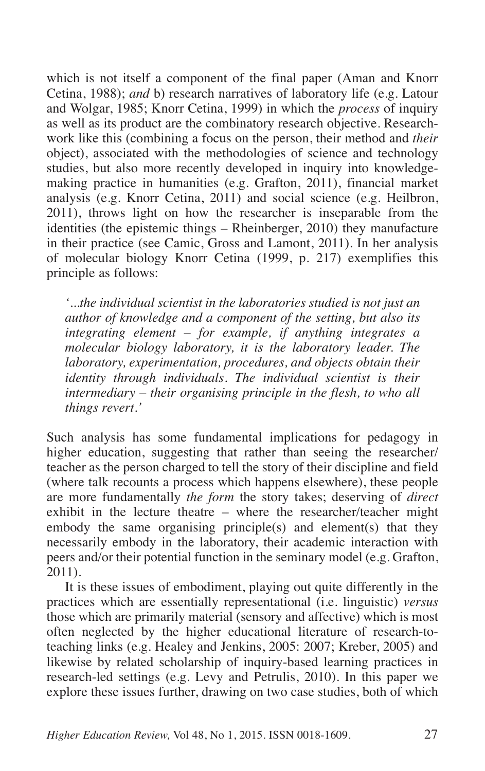which is not itself a component of the final paper (Aman and Knorr Cetina, 1988); *and* b) research narratives of laboratory life (e.g. Latour and Wolgar, 1985; Knorr Cetina, 1999) in which the *process* of inquiry as well as its product are the combinatory research objective. Researchwork like this (combining a focus on the person, their method and *their* object), associated with the methodologies of science and technology studies, but also more recently developed in inquiry into knowledgemaking practice in humanities (e.g. Grafton, 2011), financial market analysis (e.g. Knorr Cetina, 2011) and social science (e.g. Heilbron, 2011), throws light on how the researcher is inseparable from the identities (the epistemic things – Rheinberger, 2010) they manufacture in their practice (see Camic, Gross and Lamont, 2011). In her analysis of molecular biology Knorr Cetina (1999, p. 217) exemplifies this principle as follows:

*'...the individual scientist in the laboratories studied is not just an author of knowledge and a component of the setting, but also its integrating element – for example, if anything integrates a molecular biology laboratory, it is the laboratory leader. The laboratory, experimentation, procedures, and objects obtain their identity through individuals. The individual scientist is their intermediary – their organising principle in the flesh, to who all things revert.'*

Such analysis has some fundamental implications for pedagogy in higher education, suggesting that rather than seeing the researcher/ teacher as the person charged to tell the story of their discipline and field (where talk recounts a process which happens elsewhere), these people are more fundamentally *the form* the story takes; deserving of *direct* exhibit in the lecture theatre – where the researcher/teacher might embody the same organising principle(s) and element(s) that they necessarily embody in the laboratory, their academic interaction with peers and/or their potential function in the seminary model (e.g. Grafton, 2011).

It is these issues of embodiment, playing out quite differently in the practices which are essentially representational (i.e. linguistic) *versus* those which are primarily material (sensory and affective) which is most often neglected by the higher educational literature of research-toteaching links (e.g. Healey and Jenkins, 2005: 2007; Kreber, 2005) and likewise by related scholarship of inquiry-based learning practices in research-led settings (e.g. Levy and Petrulis, 2010). In this paper we explore these issues further, drawing on two case studies, both of which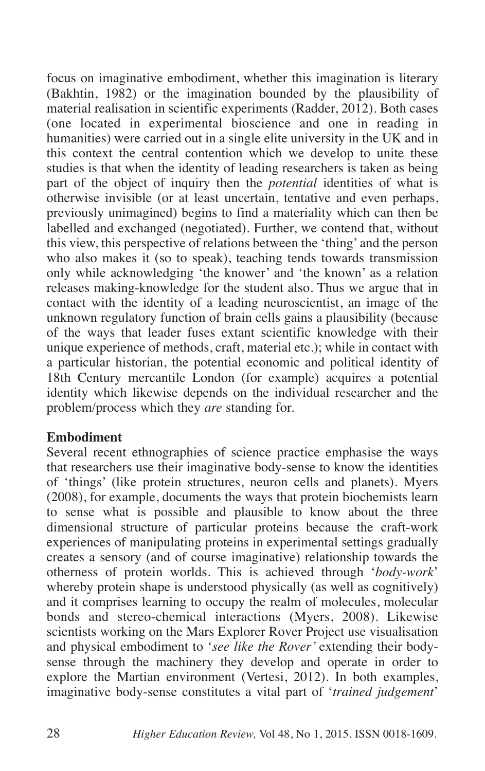focus on imaginative embodiment, whether this imagination is literary (Bakhtin, 1982) or the imagination bounded by the plausibility of material realisation in scientific experiments (Radder, 2012). Both cases (one located in experimental bioscience and one in reading in humanities) were carried out in a single elite university in the UK and in this context the central contention which we develop to unite these studies is that when the identity of leading researchers is taken as being part of the object of inquiry then the *potential* identities of what is otherwise invisible (or at least uncertain, tentative and even perhaps, previously unimagined) begins to find a materiality which can then be labelled and exchanged (negotiated). Further, we contend that, without this view, this perspective of relations between the 'thing' and the person who also makes it (so to speak), teaching tends towards transmission only while acknowledging 'the knower' and 'the known' as a relation releases making-knowledge for the student also. Thus we argue that in contact with the identity of a leading neuroscientist, an image of the unknown regulatory function of brain cells gains a plausibility (because of the ways that leader fuses extant scientific knowledge with their unique experience of methods, craft, material etc.); while in contact with a particular historian, the potential economic and political identity of 18th Century mercantile London (for example) acquires a potential identity which likewise depends on the individual researcher and the problem/process which they *are* standing for.

# **Embodiment**

Several recent ethnographies of science practice emphasise the ways that researchers use their imaginative body-sense to know the identities of 'things' (like protein structures, neuron cells and planets). Myers (2008), for example, documents the ways that protein biochemists learn to sense what is possible and plausible to know about the three dimensional structure of particular proteins because the craft-work experiences of manipulating proteins in experimental settings gradually creates a sensory (and of course imaginative) relationship towards the otherness of protein worlds. This is achieved through '*body-work*' whereby protein shape is understood physically (as well as cognitively) and it comprises learning to occupy the realm of molecules, molecular bonds and stereo-chemical interactions (Myers, 2008). Likewise scientists working on the Mars Explorer Rover Project use visualisation and physical embodiment to '*see like the Rover'* extending their bodysense through the machinery they develop and operate in order to explore the Martian environment (Vertesi, 2012). In both examples, imaginative body-sense constitutes a vital part of '*trained judgement*'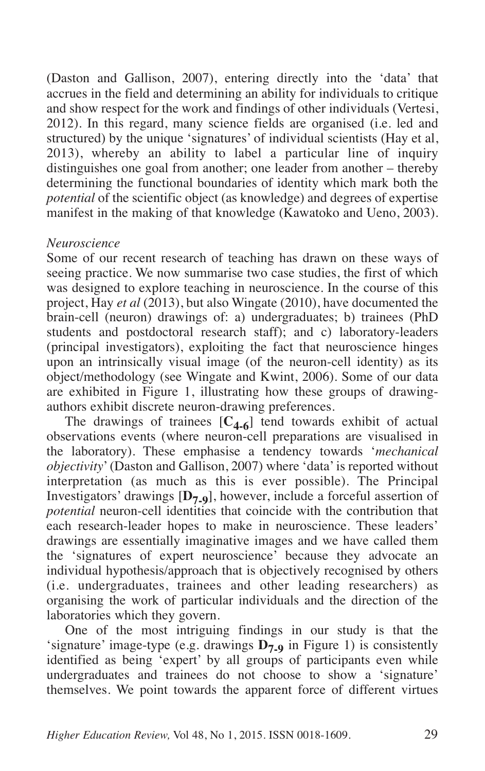(Daston and Gallison, 2007), entering directly into the 'data' that accrues in the field and determining an ability for individuals to critique and show respect for the work and findings of other individuals (Vertesi, 2012). In this regard, many science fields are organised (i.e. led and structured) by the unique 'signatures' of individual scientists (Hay et al, 2013), whereby an ability to label a particular line of inquiry distinguishes one goal from another; one leader from another – thereby determining the functional boundaries of identity which mark both the *potential* of the scientific object (as knowledge) and degrees of expertise manifest in the making of that knowledge (Kawatoko and Ueno, 2003).

# *Neuroscience*

Some of our recent research of teaching has drawn on these ways of seeing practice. We now summarise two case studies, the first of which was designed to explore teaching in neuroscience. In the course of this project, Hay *et al* (2013), but also Wingate (2010), have documented the brain-cell (neuron) drawings of: a) undergraduates; b) trainees (PhD students and postdoctoral research staff); and c) laboratory-leaders (principal investigators), exploiting the fact that neuroscience hinges upon an intrinsically visual image (of the neuron-cell identity) as its object/methodology (see Wingate and Kwint, 2006). Some of our data are exhibited in Figure 1, illustrating how these groups of drawingauthors exhibit discrete neuron-drawing preferences.

The drawings of trainees  $[C_{4-6}]$  tend towards exhibit of actual observations events (where neuron-cell preparations are visualised in the laboratory). These emphasise a tendency towards '*mechanical objectivity*' (Daston and Gallison, 2007) where 'data' is reported without interpretation (as much as this is ever possible). The Principal Investigators' drawings [**D7-9**], however, include a forceful assertion of *potential* neuron-cell identities that coincide with the contribution that each research-leader hopes to make in neuroscience. These leaders' drawings are essentially imaginative images and we have called them the 'signatures of expert neuroscience' because they advocate an individual hypothesis/approach that is objectively recognised by others (i.e. undergraduates, trainees and other leading researchers) as organising the work of particular individuals and the direction of the laboratories which they govern.

One of the most intriguing findings in our study is that the 'signature' image-type (e.g. drawings  $\overline{D_7}$  a in Figure 1) is consistently identified as being 'expert' by all groups of participants even while undergraduates and trainees do not choose to show a 'signature' themselves. We point towards the apparent force of different virtues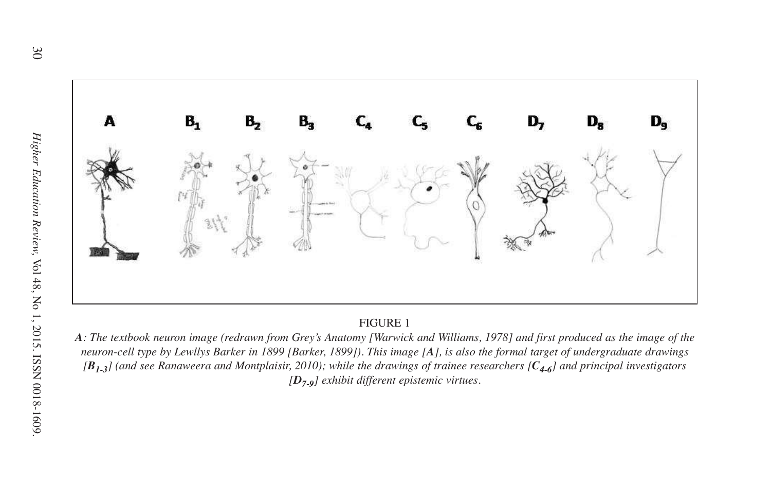

A: The textbook neuron image (redrawn from Grey's Anatomy [Warwick and Williams, 1978] and first produced as the image of the neuron-cell type by Lewllys Barker in 1899 [Barker, 1899]). This image [A], is also the formal t neuron-cell type by Lewllys Barker in 1899 [Barker, 1899]). This image [A], is also the formal target of undergraduate drawings<br>[B] 1] (and see Ranaweera and Montplaisir, 2010): while the drawings of trainee researchers [C [ $B_{1,3}$ ] (and see Ranaweera and Montplaisir, 2010); while the drawings of trainee researchers [ $C_{4,6}$ ] and principal investigators<br>[D<sub>7 o</sub>] exhibit different epistemic virtues. *[D7-9] exhibit different epistemic virtues.*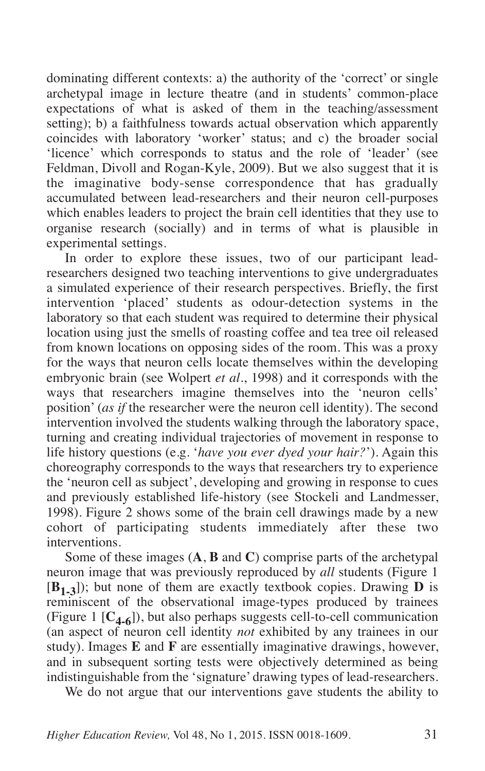dominating different contexts: a) the authority of the 'correct' or single archetypal image in lecture theatre (and in students' common-place expectations of what is asked of them in the teaching/assessment setting); b) a faithfulness towards actual observation which apparently coincides with laboratory 'worker' status; and c) the broader social 'licence' which corresponds to status and the role of 'leader' (see Feldman, Divoll and Rogan-Kyle, 2009). But we also suggest that it is the imaginative body-sense correspondence that has gradually accumulated between lead-researchers and their neuron cell-purposes which enables leaders to project the brain cell identities that they use to organise research (socially) and in terms of what is plausible in experimental settings.

In order to explore these issues, two of our participant leadresearchers designed two teaching interventions to give undergraduates a simulated experience of their research perspectives. Briefly, the first intervention 'placed' students as odour-detection systems in the laboratory so that each student was required to determine their physical location using just the smells of roasting coffee and tea tree oil released from known locations on opposing sides of the room. This was a proxy for the ways that neuron cells locate themselves within the developing embryonic brain (see Wolpert *et al.*, 1998) and it corresponds with the ways that researchers imagine themselves into the 'neuron cells' position' (*as if* the researcher were the neuron cell identity). The second intervention involved the students walking through the laboratory space, turning and creating individual trajectories of movement in response to life history questions (e.g. '*have you ever dyed your hair?*'). Again this choreography corresponds to the ways that researchers try to experience the 'neuron cell as subject', developing and growing in response to cues and previously established life-history (see Stockeli and Landmesser, 1998). Figure 2 shows some of the brain cell drawings made by a new cohort of participating students immediately after these two interventions.

Some of these images (**A**, **B** and **C**) comprise parts of the archetypal neuron image that was previously reproduced by *all* students (Figure 1 [**B1-3**]); but none of them are exactly textbook copies. Drawing **D** is reminiscent of the observational image-types produced by trainees (Figure 1  $[C_{4-6}]$ ), but also perhaps suggests cell-to-cell communication (an aspect of neuron cell identity *not* exhibited by any trainees in our study). Images **E** and **F** are essentially imaginative drawings, however, and in subsequent sorting tests were objectively determined as being indistinguishable from the 'signature' drawing types of lead-researchers.

We do not argue that our interventions gave students the ability to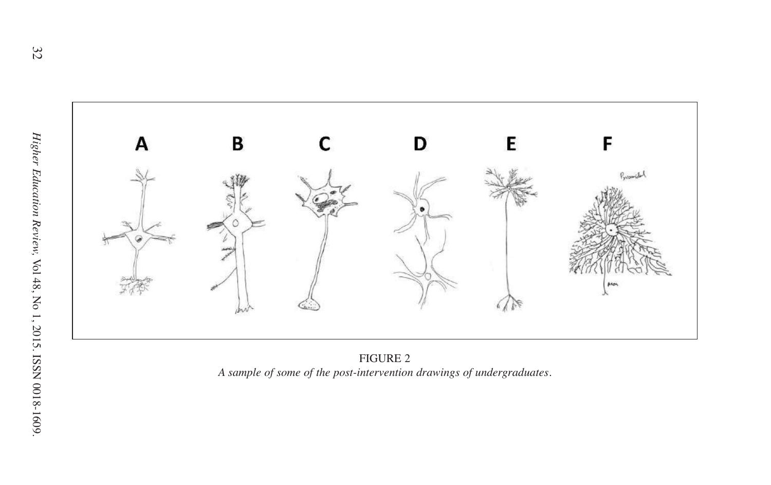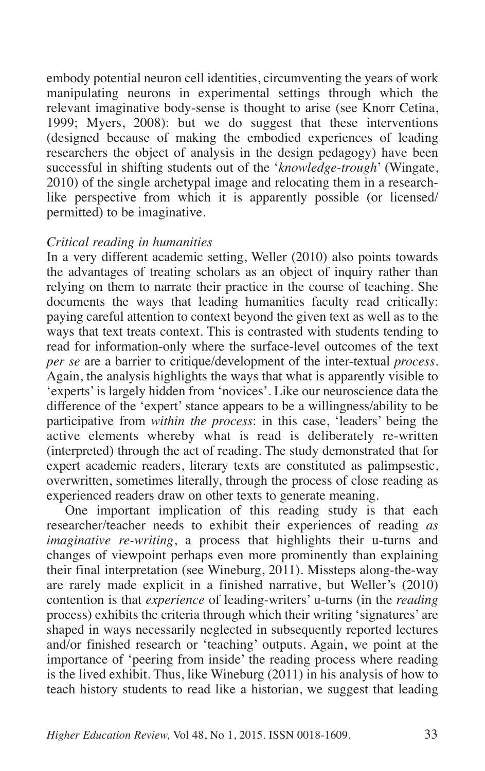embody potential neuron cell identities, circumventing the years of work manipulating neurons in experimental settings through which the relevant imaginative body-sense is thought to arise (see Knorr Cetina, 1999; Myers, 2008): but we do suggest that these interventions (designed because of making the embodied experiences of leading researchers the object of analysis in the design pedagogy) have been successful in shifting students out of the '*knowledge-trough*' (Wingate, 2010) of the single archetypal image and relocating them in a researchlike perspective from which it is apparently possible (or licensed/ permitted) to be imaginative.

# *Critical reading in humanities*

In a very different academic setting, Weller (2010) also points towards the advantages of treating scholars as an object of inquiry rather than relying on them to narrate their practice in the course of teaching. She documents the ways that leading humanities faculty read critically: paying careful attention to context beyond the given text as well as to the ways that text treats context. This is contrasted with students tending to read for information-only where the surface-level outcomes of the text *per se* are a barrier to critique/development of the inter-textual *process*. Again, the analysis highlights the ways that what is apparently visible to 'experts' is largely hidden from 'novices'. Like our neuroscience data the difference of the 'expert' stance appears to be a willingness/ability to be participative from *within the process*: in this case, 'leaders' being the active elements whereby what is read is deliberately re-written (interpreted) through the act of reading. The study demonstrated that for expert academic readers, literary texts are constituted as palimpsestic, overwritten, sometimes literally, through the process of close reading as experienced readers draw on other texts to generate meaning.

One important implication of this reading study is that each researcher/teacher needs to exhibit their experiences of reading *as imaginative re-writing*, a process that highlights their u-turns and changes of viewpoint perhaps even more prominently than explaining their final interpretation (see Wineburg, 2011). Missteps along-the-way are rarely made explicit in a finished narrative, but Weller's (2010) contention is that *experience* of leading-writers' u-turns (in the *reading* process) exhibits the criteria through which their writing 'signatures' are shaped in ways necessarily neglected in subsequently reported lectures and/or finished research or 'teaching' outputs. Again, we point at the importance of 'peering from inside' the reading process where reading is the lived exhibit. Thus, like Wineburg (2011) in his analysis of how to teach history students to read like a historian, we suggest that leading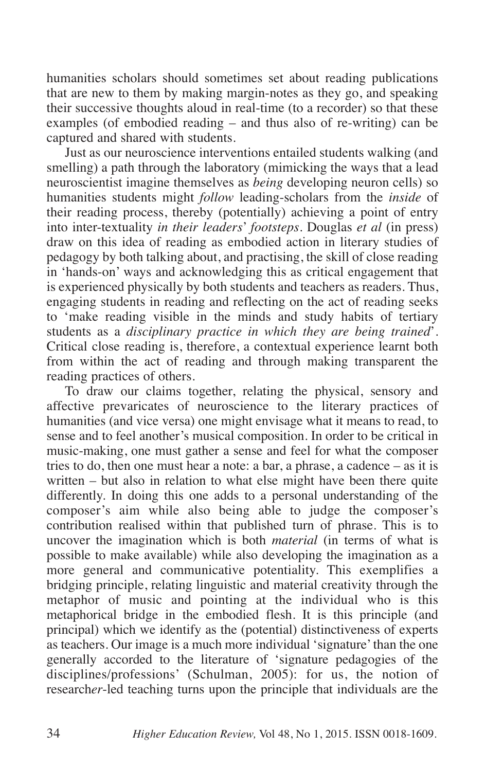humanities scholars should sometimes set about reading publications that are new to them by making margin-notes as they go, and speaking their successive thoughts aloud in real-time (to a recorder) so that these examples (of embodied reading – and thus also of re-writing) can be captured and shared with students.

Just as our neuroscience interventions entailed students walking (and smelling) a path through the laboratory (mimicking the ways that a lead neuroscientist imagine themselves as *being* developing neuron cells) so humanities students might *follow* leading-scholars from the *inside* of their reading process, thereby (potentially) achieving a point of entry into inter-textuality *in their leaders*' *footsteps*. Douglas *et al* (in press) draw on this idea of reading as embodied action in literary studies of pedagogy by both talking about, and practising, the skill of close reading in 'hands-on' ways and acknowledging this as critical engagement that is experienced physically by both students and teachers as readers. Thus, engaging students in reading and reflecting on the act of reading seeks to 'make reading visible in the minds and study habits of tertiary students as a *disciplinary practice in which they are being trained*'. Critical close reading is, therefore, a contextual experience learnt both from within the act of reading and through making transparent the reading practices of others.

To draw our claims together, relating the physical, sensory and affective prevaricates of neuroscience to the literary practices of humanities (and vice versa) one might envisage what it means to read, to sense and to feel another's musical composition. In order to be critical in music-making, one must gather a sense and feel for what the composer tries to do, then one must hear a note: a bar, a phrase, a cadence – as it is written – but also in relation to what else might have been there quite differently. In doing this one adds to a personal understanding of the composer's aim while also being able to judge the composer's contribution realised within that published turn of phrase. This is to uncover the imagination which is both *material* (in terms of what is possible to make available) while also developing the imagination as a more general and communicative potentiality. This exemplifies a bridging principle, relating linguistic and material creativity through the metaphor of music and pointing at the individual who is this metaphorical bridge in the embodied flesh. It is this principle (and principal) which we identify as the (potential) distinctiveness of experts as teachers. Our image is a much more individual 'signature'than the one generally accorded to the literature of 'signature pedagogies of the disciplines/professions' (Schulman, 2005): for us, the notion of research*er*-led teaching turns upon the principle that individuals are the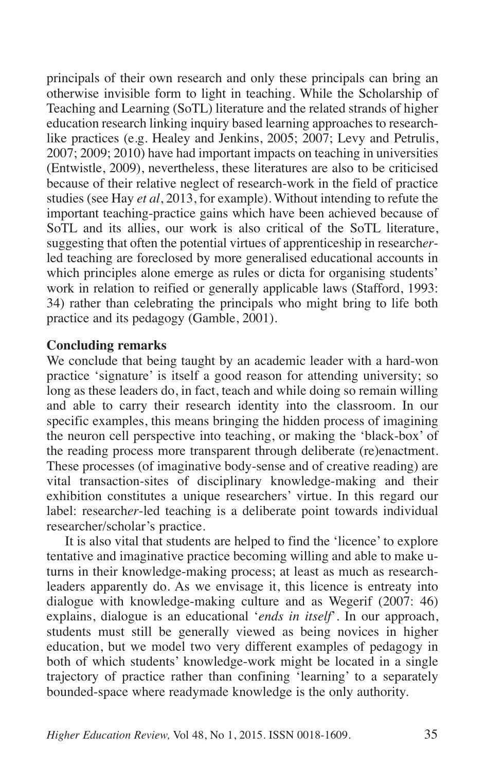principals of their own research and only these principals can bring an otherwise invisible form to light in teaching. While the Scholarship of Teaching and Learning (SoTL) literature and the related strands of higher education research linking inquiry based learning approaches to researchlike practices (e.g. Healey and Jenkins, 2005; 2007; Levy and Petrulis, 2007; 2009; 2010) have had important impacts on teaching in universities (Entwistle, 2009), nevertheless, these literatures are also to be criticised because of their relative neglect of research-work in the field of practice studies (see Hay *et al*, 2013, for example). Without intending to refute the important teaching-practice gains which have been achieved because of SoTL and its allies, our work is also critical of the SoTL literature, suggesting that often the potential virtues of apprenticeship in research*er*led teaching are foreclosed by more generalised educational accounts in which principles alone emerge as rules or dicta for organising students' work in relation to reified or generally applicable laws (Stafford, 1993: 34) rather than celebrating the principals who might bring to life both practice and its pedagogy (Gamble, 2001).

## **Concluding remarks**

We conclude that being taught by an academic leader with a hard-won practice 'signature' is itself a good reason for attending university; so long as these leaders do, in fact, teach and while doing so remain willing and able to carry their research identity into the classroom. In our specific examples, this means bringing the hidden process of imagining the neuron cell perspective into teaching, or making the 'black-box' of the reading process more transparent through deliberate (re)enactment. These processes (of imaginative body-sense and of creative reading) are vital transaction-sites of disciplinary knowledge-making and their exhibition constitutes a unique researchers' virtue. In this regard our label: research*er*-led teaching is a deliberate point towards individual researcher/scholar's practice.

It is also vital that students are helped to find the 'licence' to explore tentative and imaginative practice becoming willing and able to make uturns in their knowledge-making process; at least as much as researchleaders apparently do. As we envisage it, this licence is entreaty into dialogue with knowledge-making culture and as Wegerif (2007: 46) explains, dialogue is an educational '*ends in itself*'. In our approach, students must still be generally viewed as being novices in higher education, but we model two very different examples of pedagogy in both of which students' knowledge-work might be located in a single trajectory of practice rather than confining 'learning' to a separately bounded-space where readymade knowledge is the only authority.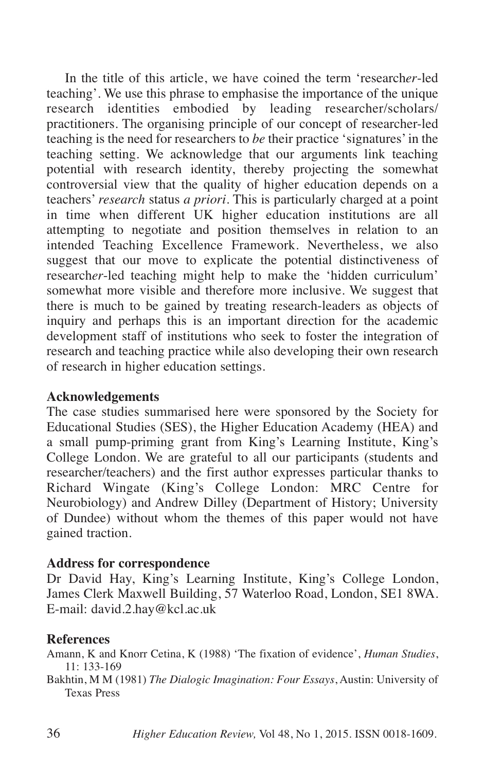In the title of this article, we have coined the term 'research*er*-led teaching'. We use this phrase to emphasise the importance of the unique research identities embodied by leading researcher/scholars/ practitioners. The organising principle of our concept of researcher-led teaching is the need for researchers to *be* their practice 'signatures' in the teaching setting. We acknowledge that our arguments link teaching potential with research identity, thereby projecting the somewhat controversial view that the quality of higher education depends on a teachers' *research* status *a priori*. This is particularly charged at a point in time when different UK higher education institutions are all attempting to negotiate and position themselves in relation to an intended Teaching Excellence Framework. Nevertheless, we also suggest that our move to explicate the potential distinctiveness of research*er*-led teaching might help to make the 'hidden curriculum' somewhat more visible and therefore more inclusive. We suggest that there is much to be gained by treating research-leaders as objects of inquiry and perhaps this is an important direction for the academic development staff of institutions who seek to foster the integration of research and teaching practice while also developing their own research of research in higher education settings.

# **Acknowledgements**

The case studies summarised here were sponsored by the Society for Educational Studies (SES), the Higher Education Academy (HEA) and a small pump-priming grant from King's Learning Institute, King's College London. We are grateful to all our participants (students and researcher/teachers) and the first author expresses particular thanks to Richard Wingate (King's College London: MRC Centre for Neurobiology) and Andrew Dilley (Department of History; University of Dundee) without whom the themes of this paper would not have gained traction.

# **Address for correspondence**

Dr David Hay, King's Learning Institute, King's College London, James Clerk Maxwell Building, 57 Waterloo Road, London, SE1 8WA. E-mail: david.2.hay@kcl.ac.uk

# **References**

Amann, K and Knorr Cetina, K (1988) 'The fixation of evidence', *Human Studies*, 11: 133-169

Bakhtin, M M (1981) *The Dialogic Imagination: Four Essays*, Austin: University of Texas Press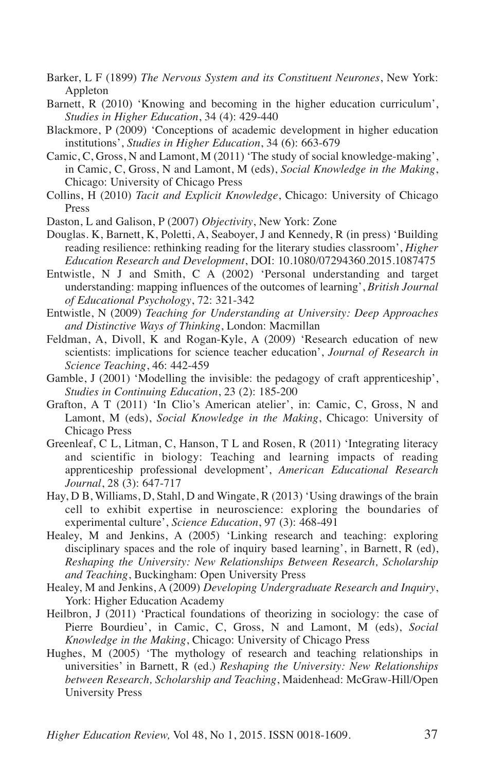- Barker, L F (1899) *The Nervous System and its Constituent Neurones*, New York: Appleton
- Barnett, R (2010) 'Knowing and becoming in the higher education curriculum', *Studies in Higher Education*, 34 (4): 429-440
- Blackmore, P (2009) 'Conceptions of academic development in higher education institutions', *Studies in Higher Education*, 34 (6): 663-679
- Camic, C, Gross, N and Lamont, M (2011) 'The study of social knowledge-making', in Camic, C, Gross, N and Lamont, M (eds), *Social Knowledge in the Making*, Chicago: University of Chicago Press
- Collins, H (2010) *Tacit and Explicit Knowledge*, Chicago: University of Chicago Press
- Daston, L and Galison, P (2007) *Objectivity*, New York: Zone
- Douglas. K, Barnett, K, Poletti, A, Seaboyer, J and Kennedy, R (in press) 'Building reading resilience: rethinking reading for the literary studies classroom', *Higher Education Research and Development*, DOI: 10.1080/07294360.2015.1087475
- Entwistle, N J and Smith, C A (2002) 'Personal understanding and target understanding: mapping influences of the outcomes of learning', *British Journal of Educational Psychology*, 72: 321-342
- Entwistle, N (2009) *Teaching for Understanding at University: Deep Approaches and Distinctive Ways of Thinking*, London: Macmillan
- Feldman, A, Divoll, K and Rogan-Kyle, A (2009) 'Research education of new scientists: implications for science teacher education', *Journal of Research in Science Teaching*, 46: 442-459
- Gamble, J (2001) 'Modelling the invisible: the pedagogy of craft apprenticeship', *Studies in Continuing Education*, 23 (2): 185-200
- Grafton, A T (2011) 'In Clio's American atelier', in: Camic, C, Gross, N and Lamont, M (eds), *Social Knowledge in the Making*, Chicago: University of Chicago Press
- Greenleaf, C L, Litman, C, Hanson, T L and Rosen, R (2011) 'Integrating literacy and scientific in biology: Teaching and learning impacts of reading apprenticeship professional development', *American Educational Research Journal*, 28 (3): 647-717
- Hay, D B, Williams, D, Stahl, D and Wingate, R (2013) 'Using drawings of the brain cell to exhibit expertise in neuroscience: exploring the boundaries of experimental culture', *Science Education*, 97 (3): 468-491
- Healey, M and Jenkins, A (2005) 'Linking research and teaching: exploring disciplinary spaces and the role of inquiry based learning', in Barnett, R (ed), *Reshaping the University: New Relationships Between Research, Scholarship and Teaching*, Buckingham: Open University Press
- Healey, M and Jenkins, A (2009) *Developing Undergraduate Research and Inquiry*, York: Higher Education Academy
- Heilbron, J (2011) 'Practical foundations of theorizing in sociology: the case of Pierre Bourdieu', in Camic, C, Gross, N and Lamont, M (eds), *Social Knowledge in the Making*, Chicago: University of Chicago Press
- Hughes, M (2005) 'The mythology of research and teaching relationships in universities' in Barnett, R (ed.) *Reshaping the University: New Relationships between Research, Scholarship and Teaching*, Maidenhead: McGraw-Hill/Open University Press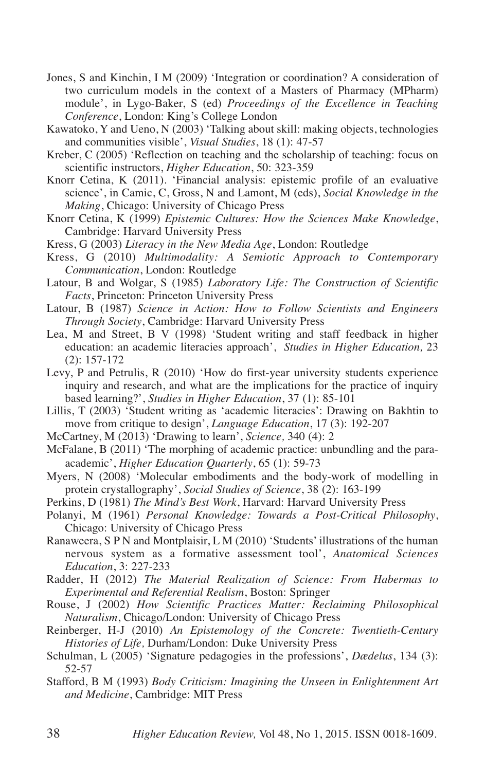- Jones, S and Kinchin, I M (2009) 'Integration or coordination? A consideration of two curriculum models in the context of a Masters of Pharmacy (MPharm) module', in Lygo-Baker, S (ed) *Proceedings of the Excellence in Teaching Conference*, London: King's College London
- Kawatoko, Y and Ueno, N (2003) 'Talking about skill: making objects, technologies and communities visible', *Visual Studies*, 18 (1): 47-57
- Kreber, C (2005) 'Reflection on teaching and the scholarship of teaching: focus on scientific instructors, *Higher Education*, 50: 323-359
- Knorr Cetina, K (2011). 'Financial analysis: epistemic profile of an evaluative science', in Camic, C, Gross, N and Lamont, M (eds), *Social Knowledge in the Making*, Chicago: University of Chicago Press
- Knorr Cetina, K (1999) *Epistemic Cultures: How the Sciences Make Knowledge*, Cambridge: Harvard University Press
- Kress, G (2003) *Literacy in the New Media Age*, London: Routledge
- Kress, G (2010) *Multimodality: A Semiotic Approach to Contemporary Communication*, London: Routledge
- Latour, B and Wolgar, S (1985) *Laboratory Life: The Construction of Scientific Facts*, Princeton: Princeton University Press
- Latour, B (1987) *Science in Action: How to Follow Scientists and Engineers Through Society*, Cambridge: Harvard University Press
- Lea, M and Street, B V (1998) 'Student writing and staff feedback in higher education: an academic literacies approach', *Studies in Higher Education,* 23  $(2): 157-172$
- Levy, P and Petrulis, R (2010) 'How do first-year university students experience inquiry and research, and what are the implications for the practice of inquiry based learning?', *Studies in Higher Education*, 37 (1): 85-101
- Lillis, T (2003) 'Student writing as 'academic literacies': Drawing on Bakhtin to move from critique to design', *Language Education*, 17 (3): 192-207
- McCartney, M (2013) 'Drawing to learn', *Science,* 340 (4): 2
- McFalane, B (2011) 'The morphing of academic practice: unbundling and the paraacademic', *Higher Education Quarterly*, 65 (1): 59-73
- Myers, N (2008) 'Molecular embodiments and the body-work of modelling in protein crystallography', *Social Studies of Science*, 38 (2): 163-199
- Perkins, D (1981) *The Mind's Best Work*, Harvard: Harvard University Press
- Polanyi, M (1961) *Personal Knowledge: Towards a Post-Critical Philosophy*, Chicago: University of Chicago Press
- Ranaweera, S P N and Montplaisir, L M (2010) 'Students' illustrations of the human nervous system as a formative assessment tool', *Anatomical Sciences Education*, 3: 227-233
- Radder, H (2012) *The Material Realization of Science: From Habermas to Experimental and Referential Realism*, Boston: Springer
- Rouse, J (2002) *How Scientific Practices Matter: Reclaiming Philosophical Naturalism*, Chicago/London: University of Chicago Press
- Reinberger, H-J (2010) *An Epistemology of the Concrete: Twentieth-Century Histories of Life,* Durham/London: Duke University Press
- Schulman, L (2005) 'Signature pedagogies in the professions', *Dædelus*, 134 (3): 52-57
- Stafford, B M (1993) *Body Criticism: Imagining the Unseen in Enlightenment Art and Medicine*, Cambridge: MIT Press